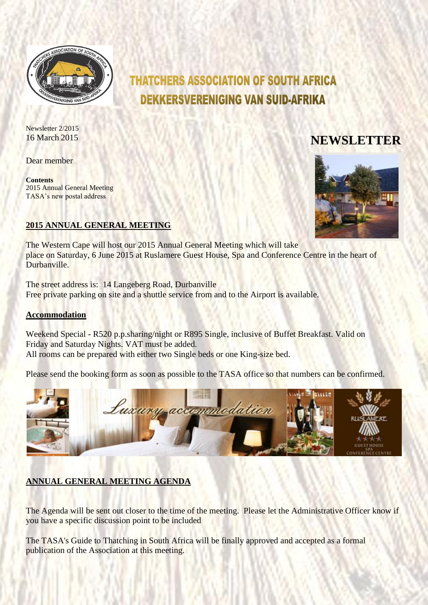

# **THATCHERS ASSOCIATION OF SOUTH AFRICA DEKKERSVERENIGING VAN SUID-AFRIKA**

Newsletter 2/2015

Dear member

**Contents** 2015 Annual General Meeting TASA's new postal address

# 16 March <sup>2015</sup> **NEWSLETTER**



### **2015 ANNUAL GENERAL MEETING**

The Western Cape will host our 2015 Annual General Meeting which will take place on Saturday, 6 June 2015 at Ruslamere Guest House, Spa and Conference Centre in the heart of Durbanville.

The street address is: 14 Langeberg Road, Durbanville Free private parking on site and a shuttle service from and to the Airport is available.

#### **Accommodation**

Weekend Special - R520 p.p.sharing/night or R895 Single, inclusive of Buffet Breakfast. Valid on Friday and Saturday Nights. VAT must be added. All rooms can be prepared with either two Single beds or one King-size bed.

Please send the booking form as soon as possible to the TASA office so that numbers can be confirmed.



### **ANNUAL GENERAL MEETING AGENDA**

The Agenda will be sent out closer to the time of the meeting. Please let the Administrative Officer know if you have a specific discussion point to be included

The TASA's Guide to Thatching in South Africa will be finally approved and accepted as a formal publication of the Association at this meeting.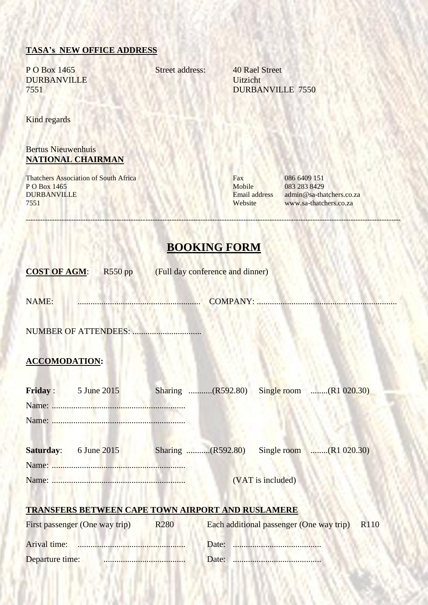#### **TASA's NEW OFFICE ADDRESS**

P O Box 1465 Street address: 40 Rael Street DURBANVILLE Uitzicht

7551 DURBANVILLE 7550

Kind regards

#### Bertus Nieuwenhuis **NATIONAL CHAIRMAN**

Thatchers Association of South Africa<br>
P O Box 1465<br>
Mobile 083 283 8429 P O Box 1465 Mobile 083 283 8429<br>DURBANVILLE Email address admin@sa-tha DURBANVILLE Email address admin@sa-thatchers.co.za<br>
T551 www.sa-thatchers.co.za

www.sa-thatchers.co.za

## **BOOKING FORM**

-------------------------------------------------------------------------------------------------------------------------------------------------------------

|                                                                                                                                                                                                                                | <b>COST OF AGM:</b> R550 pp (Full day conference and dinner)           |
|--------------------------------------------------------------------------------------------------------------------------------------------------------------------------------------------------------------------------------|------------------------------------------------------------------------|
| NAME: MONTH AND RESERVE TO A REPORT OF THE MANUSCRIPTION OF THE MANUSCRIPTION OF THE MANUSCRIPTION OF THE MANUSCRIPTION OF THE MANUSCRIPTION OF THE MANUSCRIPTION OF THE MANUSCRIPTION OF THE MANUSCRIPTION OF THE MANUSCRIPTI |                                                                        |
|                                                                                                                                                                                                                                |                                                                        |
| <b>ACCOMODATION:</b>                                                                                                                                                                                                           |                                                                        |
| Friday: $5 \text{ June } 2015$                                                                                                                                                                                                 | Sharing (R592.80) Single room (R1 020.30)                              |
|                                                                                                                                                                                                                                | <b>Saturday:</b> 6 June 2015 Sharing (R592.80) Single room (R1 020.30) |
|                                                                                                                                                                                                                                | (VAT is included)                                                      |
|                                                                                                                                                                                                                                | <b>TRANSFERS BETWEEN CAPE TOWN AIRPORT AND RUSLAMERE</b>               |
| First passenger (One way trip)                                                                                                                                                                                                 | <b>R280</b><br>Each additional passenger (One way trip) R110           |
|                                                                                                                                                                                                                                |                                                                        |
| Departure time:                                                                                                                                                                                                                |                                                                        |